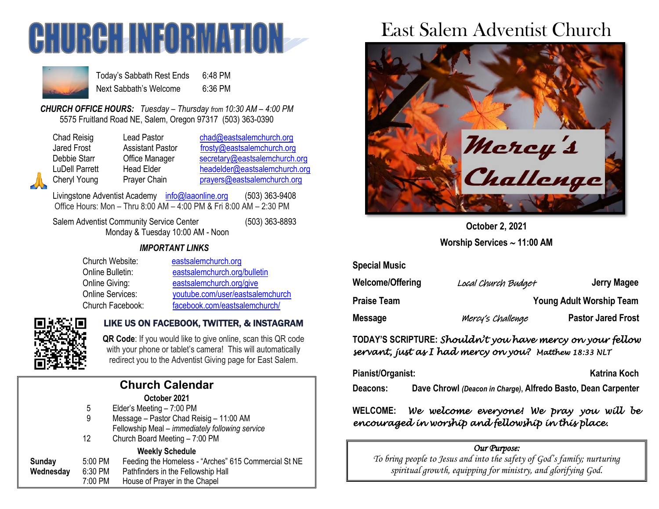



Today's Sabbath Rest Ends 6:48 PM Next Sabbath's Welcome 6:36 PM

*CHURCH OFFICE HOURS: Tuesday – Thursday from 10:30 AM – 4:00 PM* 5575 Fruitland Road NE, Salem, Oregon 97317 (503) 363-0390

| Chad Reisig        |
|--------------------|
| <b>Jared Frost</b> |
| Debbie Starr       |
| LuDell Parrett     |
| Cheryl Young       |

Lead Pastor [chad@eastsalemchurch.org](mailto:chad@eastsalemchurch.org) Assistant Pastor [frosty@eastsalemchurch.org](mailto:frosty@eastsalemchurch.org) Office Manager [secretary@eastsalemchurch.org](mailto:secretary@eastsalemchurch.org) Head Elder [headelder@eastsalemchurch.org](mailto:headelder@eastsalemchurch.org) Prayer Chain [prayers@eastsalemchurch.org](mailto:prayers@eastsalemchurch.org)

Livingstone Adventist Academy [info@laaonline.org](mailto:info@laaonline.org) (503) 363-9408 Office Hours: Mon – Thru 8:00 AM – 4:00 PM & Fri 8:00 AM – 2:30 PM

Salem Adventist Community Service Center (503) 363-8893 Monday & Tuesday 10:00 AM - Noon

#### *IMPORTANT LINKS*

| Church Website:  | eastsalemchurch.org              |
|------------------|----------------------------------|
| Online Bulletin: | eastsalemchurch.org/bulletin     |
| Online Giving:   | eastsalemchurch.org/give         |
| Online Services: | youtube.com/user/eastsalemchurch |
| Church Facebook: | facebook.com/eastsalemchurch/    |



### LIKE US ON FACEBOOK, TWITTER, & INSTAGRAM

**QR Code**: If you would like to give online, scan this QR code with your phone or tablet's camera! This will automatically redirect you to the Adventist Giving page for East Salem.

| <b>Church Calendar</b> |         |                                                      |  |  |
|------------------------|---------|------------------------------------------------------|--|--|
|                        |         | October 2021                                         |  |  |
|                        | 5       | Elder's Meeting - 7:00 PM                            |  |  |
|                        | 9       | Message - Pastor Chad Reisig - 11:00 AM              |  |  |
|                        |         | Fellowship Meal - immediately following service      |  |  |
|                        | 12      | Church Board Meeting - 7:00 PM                       |  |  |
|                        |         | <b>Weekly Schedule</b>                               |  |  |
| <b>Sunday</b>          | 5:00 PM | Feeding the Homeless - "Arches" 615 Commercial St NE |  |  |
| Wednesday              | 6:30 PM | Pathfinders in the Fellowship Hall                   |  |  |
|                        | 7:00 PM | House of Prayer in the Chapel                        |  |  |

# East Salem Adventist Church



**October 2, 2021 Worship Services 11:00 AM**

| <b>Special Music</b>    |                     |                                 |
|-------------------------|---------------------|---------------------------------|
| <b>Welcome/Offering</b> | Local Church Budget | Jerry Magee                     |
| <b>Praise Team</b>      |                     | <b>Young Adult Worship Team</b> |
| <b>Message</b>          | Mercy's Challenge   | <b>Pastor Jared Frost</b>       |

## **TODAY'S SCRIPTURE:** *Shouldn't you have mercy on your fellow servant, just as I had mercy on you? Matthew 18:33 NLT*

Pianist/Organist: Katrina Koch

**Deacons: Dave Chrowl** *(Deacon in Charge)***, Alfredo Basto, Dean Carpenter**

**WELCOME:** *We welcome everyone! We pray you will be encouraged in worship and fellowship in this place.* 

#### *Our Purpose:*

*To bring people to Jesus and into the safety of God's family; nurturing spiritual growth, equipping for ministry, and glorifying God.*